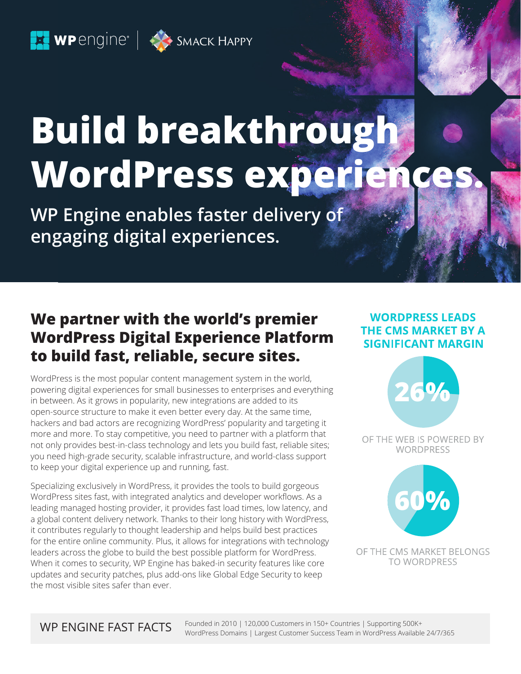$\Box$  WPengine  $\parallel$   $\leftrightarrow$  SMACK HAPPY

# **Build breakthrough WordPress experien**

**WP Engine enables faster delivery of engaging digital experiences.**

## **We partner with the world's premier WordPress Digital Experience Platform to build fast, reliable, secure sites.**

WordPress is the most popular content management system in the world, powering digital experiences for small businesses to enterprises and everything in between. As it grows in popularity, new integrations are added to its open-source structure to make it even better every day. At the same time, hackers and bad actors are recognizing WordPress' popularity and targeting it more and more. To stay competitive, you need to partner with a platform that not only provides best-in-class technology and lets you build fast, reliable sites; you need high-grade security, scalable infrastructure, and world-class support to keep your digital experience up and running, fast.

Specializing exclusively in WordPress, it provides the tools to build gorgeous WordPress sites fast, with integrated analytics and developer workflows. As a leading managed hosting provider, it provides fast load times, low latency, and a global content delivery network. Thanks to their long history with WordPress, it contributes regularly to thought leadership and helps build best practices for the entire online community. Plus, it allows for integrations with technology leaders across the globe to build the best possible platform for WordPress. When it comes to security, WP Engine has baked-in security features like core updates and security patches, plus add-ons like Global Edge Security to keep the most visible sites safer than ever.

### **WORDPRESS LEADS** THE CMS MARKET BY A **SIGNIFICANT MARGIN**



OF THE WEB IS POWERED BY **WORDPRESS** 



OF THE CMS MARKET BELONGS **TO WORDPRESS**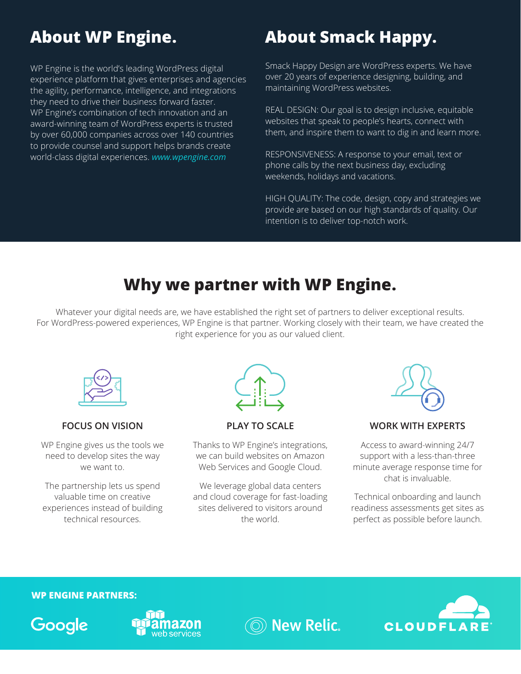# **About WP Engine.**

WP Engine is the world's leading WordPress digital experience platform that gives enterprises and agencies the agility, performance, intelligence, and integrations they need to drive their business forward faster. WP Engine's combination of tech innovation and an award-winning team of WordPress experts is trusted by over 60,000 companies across over 140 countries to provide counsel and support helps brands create world-class digital experiences. *[www.wpengine.com](https://wpengine.com/)*

# **About Smack Happy.**

Smack Happy Design are WordPress experts. We have over 20 years of experience designing, building, and maintaining WordPress websites.

REAL DESIGN: Our goal is to design inclusive, equitable websites that speak to people's hearts, connect with them, and inspire them to want to dig in and learn more.

RESPONSIVENESS: A response to your email, text or phone calls by the next business day, excluding weekends, holidays and vacations.

HIGH QUALITY: The code, design, copy and strategies we provide are based on our high standards of quality. Our intention is to deliver top-notch work.

# **Why we partner with WP Engine.**

Whatever your digital needs are, we have established the right set of partners to deliver exceptional results. For WordPress-powered experiences, WP Engine is that partner. Working closely with their team, we have created the right experience for you as our valued client.



#### **FOCUS ON VISION**

WP Engine gives us the tools we need to develop sites the way we want to.

The partnership lets us spend valuable time on creative experiences instead of building technical resources.



**PLAY TO SCALE**

Thanks to WP Engine's integrations, we can build websites on Amazon Web Services and Google Cloud.

We leverage global data centers and cloud coverage for fast-loading sites delivered to visitors around the world.



#### **WORK WITH EXPERTS**

Access to award-winning 24/7 support with a less-than-three minute average response time for chat is invaluable.

Technical onboarding and launch readiness assessments get sites as perfect as possible before launch.

#### **WP ENGINE PARTNERS:**





**New Relic.**